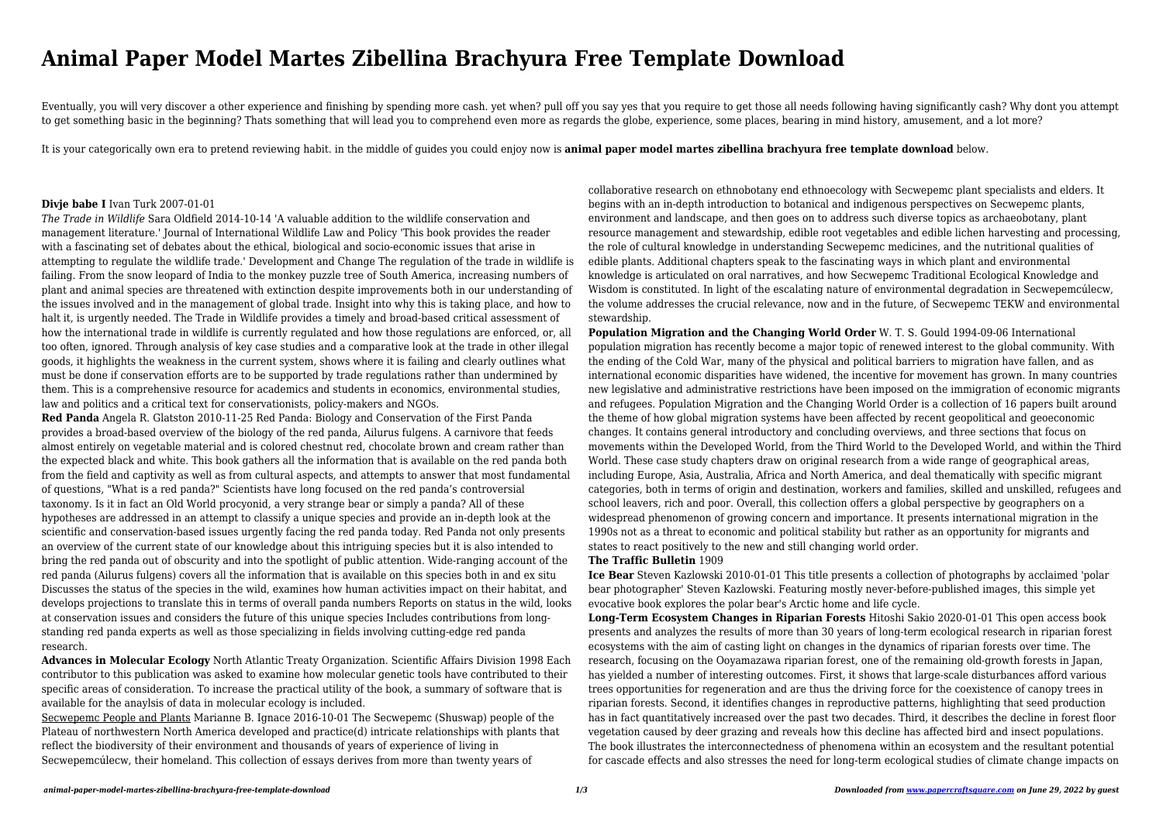# **Animal Paper Model Martes Zibellina Brachyura Free Template Download**

Eventually, you will very discover a other experience and finishing by spending more cash. yet when? pull off you say yes that you require to get those all needs following having significantly cash? Why dont you attempt to get something basic in the beginning? Thats something that will lead you to comprehend even more as regards the globe, experience, some places, bearing in mind history, amusement, and a lot more?

It is your categorically own era to pretend reviewing habit. in the middle of guides you could enjoy now is **animal paper model martes zibellina brachyura free template download** below.

## **Divje babe I** Ivan Turk 2007-01-01

*The Trade in Wildlife* Sara Oldfield 2014-10-14 'A valuable addition to the wildlife conservation and management literature.' Journal of International Wildlife Law and Policy 'This book provides the reader with a fascinating set of debates about the ethical, biological and socio-economic issues that arise in attempting to regulate the wildlife trade.' Development and Change The regulation of the trade in wildlife is failing. From the snow leopard of India to the monkey puzzle tree of South America, increasing numbers of plant and animal species are threatened with extinction despite improvements both in our understanding of the issues involved and in the management of global trade. Insight into why this is taking place, and how to halt it, is urgently needed. The Trade in Wildlife provides a timely and broad-based critical assessment of how the international trade in wildlife is currently regulated and how those regulations are enforced, or, all too often, ignored. Through analysis of key case studies and a comparative look at the trade in other illegal goods, it highlights the weakness in the current system, shows where it is failing and clearly outlines what must be done if conservation efforts are to be supported by trade regulations rather than undermined by them. This is a comprehensive resource for academics and students in economics, environmental studies, law and politics and a critical text for conservationists, policy-makers and NGOs.

**Red Panda** Angela R. Glatston 2010-11-25 Red Panda: Biology and Conservation of the First Panda provides a broad-based overview of the biology of the red panda, Ailurus fulgens. A carnivore that feeds almost entirely on vegetable material and is colored chestnut red, chocolate brown and cream rather than the expected black and white. This book gathers all the information that is available on the red panda both from the field and captivity as well as from cultural aspects, and attempts to answer that most fundamental of questions, "What is a red panda?" Scientists have long focused on the red panda's controversial taxonomy. Is it in fact an Old World procyonid, a very strange bear or simply a panda? All of these hypotheses are addressed in an attempt to classify a unique species and provide an in-depth look at the scientific and conservation-based issues urgently facing the red panda today. Red Panda not only presents an overview of the current state of our knowledge about this intriguing species but it is also intended to bring the red panda out of obscurity and into the spotlight of public attention. Wide-ranging account of the red panda (Ailurus fulgens) covers all the information that is available on this species both in and ex situ Discusses the status of the species in the wild, examines how human activities impact on their habitat, and develops projections to translate this in terms of overall panda numbers Reports on status in the wild, looks at conservation issues and considers the future of this unique species Includes contributions from longstanding red panda experts as well as those specializing in fields involving cutting-edge red panda research.

**Advances in Molecular Ecology** North Atlantic Treaty Organization. Scientific Affairs Division 1998 Each contributor to this publication was asked to examine how molecular genetic tools have contributed to their specific areas of consideration. To increase the practical utility of the book, a summary of software that is available for the anaylsis of data in molecular ecology is included.

Secwepemc People and Plants Marianne B. Ignace 2016-10-01 The Secwepemc (Shuswap) people of the Plateau of northwestern North America developed and practice(d) intricate relationships with plants that reflect the biodiversity of their environment and thousands of years of experience of living in Secwepemcúlecw, their homeland. This collection of essays derives from more than twenty years of

collaborative research on ethnobotany end ethnoecology with Secwepemc plant specialists and elders. It begins with an in-depth introduction to botanical and indigenous perspectives on Secwepemc plants, environment and landscape, and then goes on to address such diverse topics as archaeobotany, plant resource management and stewardship, edible root vegetables and edible lichen harvesting and processing, the role of cultural knowledge in understanding Secwepemc medicines, and the nutritional qualities of edible plants. Additional chapters speak to the fascinating ways in which plant and environmental knowledge is articulated on oral narratives, and how Secwepemc Traditional Ecological Knowledge and Wisdom is constituted. In light of the escalating nature of environmental degradation in Secwepemcúlecw, the volume addresses the crucial relevance, now and in the future, of Secwepemc TEKW and environmental stewardship.

# **Population Migration and the Changing World Order** W. T. S. Gould 1994-09-06 International population migration has recently become a major topic of renewed interest to the global community. With the ending of the Cold War, many of the physical and political barriers to migration have fallen, and as international economic disparities have widened, the incentive for movement has grown. In many countries new legislative and administrative restrictions have been imposed on the immigration of economic migrants and refugees. Population Migration and the Changing World Order is a collection of 16 papers built around the theme of how global migration systems have been affected by recent geopolitical and geoeconomic changes. It contains general introductory and concluding overviews, and three sections that focus on movements within the Developed World, from the Third World to the Developed World, and within the Third World. These case study chapters draw on original research from a wide range of geographical areas, including Europe, Asia, Australia, Africa and North America, and deal thematically with specific migrant categories, both in terms of origin and destination, workers and families, skilled and unskilled, refugees and school leavers, rich and poor. Overall, this collection offers a global perspective by geographers on a widespread phenomenon of growing concern and importance. It presents international migration in the 1990s not as a threat to economic and political stability but rather as an opportunity for migrants and states to react positively to the new and still changing world order. **The Traffic Bulletin** 1909

**Ice Bear** Steven Kazlowski 2010-01-01 This title presents a collection of photographs by acclaimed 'polar bear photographer' Steven Kazlowski. Featuring mostly never-before-published images, this simple yet evocative book explores the polar bear's Arctic home and life cycle. **Long-Term Ecosystem Changes in Riparian Forests** Hitoshi Sakio 2020-01-01 This open access book presents and analyzes the results of more than 30 years of long-term ecological research in riparian forest ecosystems with the aim of casting light on changes in the dynamics of riparian forests over time. The research, focusing on the Ooyamazawa riparian forest, one of the remaining old-growth forests in Japan, has yielded a number of interesting outcomes. First, it shows that large-scale disturbances afford various trees opportunities for regeneration and are thus the driving force for the coexistence of canopy trees in riparian forests. Second, it identifies changes in reproductive patterns, highlighting that seed production has in fact quantitatively increased over the past two decades. Third, it describes the decline in forest floor vegetation caused by deer grazing and reveals how this decline has affected bird and insect populations. The book illustrates the interconnectedness of phenomena within an ecosystem and the resultant potential for cascade effects and also stresses the need for long-term ecological studies of climate change impacts on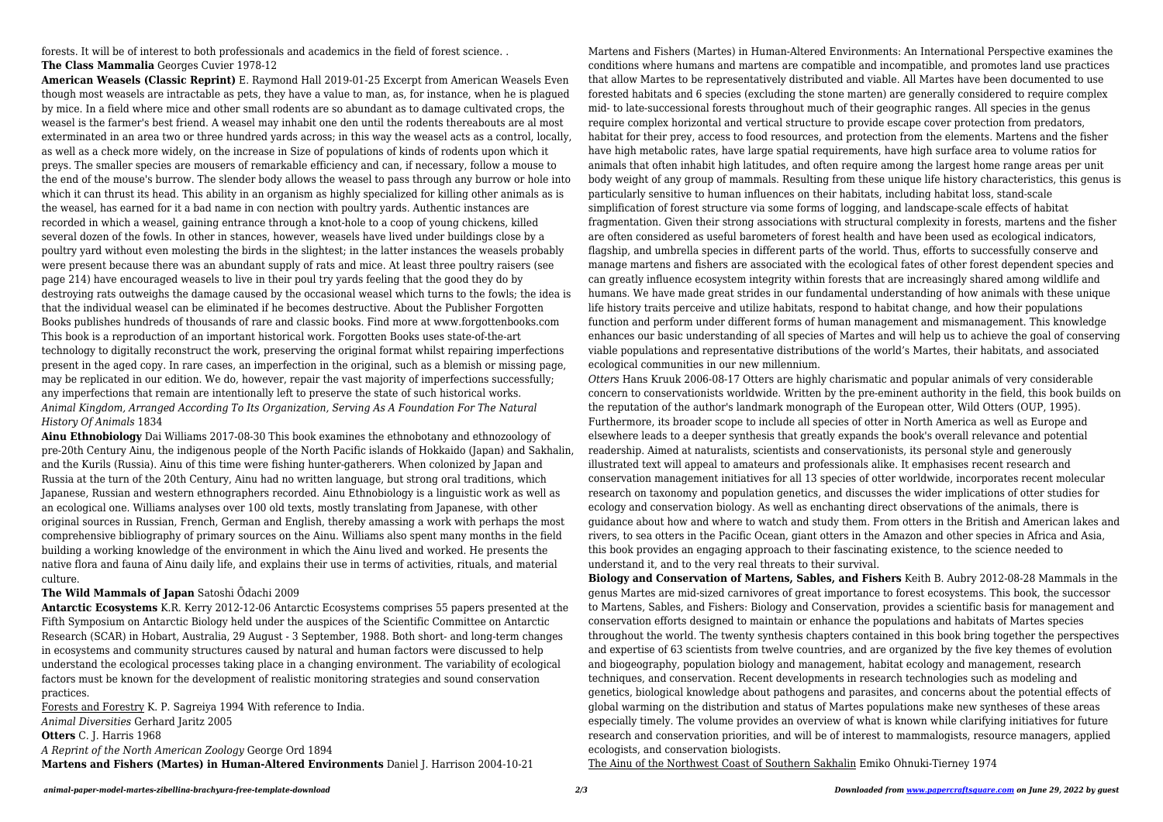forests. It will be of interest to both professionals and academics in the field of forest science. . **The Class Mammalia** Georges Cuvier 1978-12

**American Weasels (Classic Reprint)** E. Raymond Hall 2019-01-25 Excerpt from American Weasels Even though most weasels are intractable as pets, they have a value to man, as, for instance, when he is plagued by mice. In a field where mice and other small rodents are so abundant as to damage cultivated crops, the weasel is the farmer's best friend. A weasel may inhabit one den until the rodents thereabouts are al most exterminated in an area two or three hundred yards across; in this way the weasel acts as a control, locally, as well as a check more widely, on the increase in Size of populations of kinds of rodents upon which it preys. The smaller species are mousers of remarkable efficiency and can, if necessary, follow a mouse to the end of the mouse's burrow. The slender body allows the weasel to pass through any burrow or hole into which it can thrust its head. This ability in an organism as highly specialized for killing other animals as is the weasel, has earned for it a bad name in con nection with poultry yards. Authentic instances are recorded in which a weasel, gaining entrance through a knot-hole to a coop of young chickens, killed several dozen of the fowls. In other in stances, however, weasels have lived under buildings close by a poultry yard without even molesting the birds in the slightest; in the latter instances the weasels probably were present because there was an abundant supply of rats and mice. At least three poultry raisers (see page 214) have encouraged weasels to live in their poul try yards feeling that the good they do by destroying rats outweighs the damage caused by the occasional weasel which turns to the fowls; the idea is that the individual weasel can be eliminated if he becomes destructive. About the Publisher Forgotten Books publishes hundreds of thousands of rare and classic books. Find more at www.forgottenbooks.com This book is a reproduction of an important historical work. Forgotten Books uses state-of-the-art technology to digitally reconstruct the work, preserving the original format whilst repairing imperfections present in the aged copy. In rare cases, an imperfection in the original, such as a blemish or missing page, may be replicated in our edition. We do, however, repair the vast majority of imperfections successfully; any imperfections that remain are intentionally left to preserve the state of such historical works. *Animal Kingdom, Arranged According To Its Organization, Serving As A Foundation For The Natural History Of Animals* 1834

**Ainu Ethnobiology** Dai Williams 2017-08-30 This book examines the ethnobotany and ethnozoology of pre-20th Century Ainu, the indigenous people of the North Pacific islands of Hokkaido (Japan) and Sakhalin, and the Kurils (Russia). Ainu of this time were fishing hunter-gatherers. When colonized by Japan and Russia at the turn of the 20th Century, Ainu had no written language, but strong oral traditions, which Japanese, Russian and western ethnographers recorded. Ainu Ethnobiology is a linguistic work as well as an ecological one. Williams analyses over 100 old texts, mostly translating from Japanese, with other original sources in Russian, French, German and English, thereby amassing a work with perhaps the most comprehensive bibliography of primary sources on the Ainu. Williams also spent many months in the field building a working knowledge of the environment in which the Ainu lived and worked. He presents the native flora and fauna of Ainu daily life, and explains their use in terms of activities, rituals, and material culture.

## **The Wild Mammals of Japan** Satoshi Ōdachi 2009

**Antarctic Ecosystems** K.R. Kerry 2012-12-06 Antarctic Ecosystems comprises 55 papers presented at the Fifth Symposium on Antarctic Biology held under the auspices of the Scientific Committee on Antarctic Research (SCAR) in Hobart, Australia, 29 August - 3 September, 1988. Both short- and long-term changes in ecosystems and community structures caused by natural and human factors were discussed to help understand the ecological processes taking place in a changing environment. The variability of ecological factors must be known for the development of realistic monitoring strategies and sound conservation practices.

Forests and Forestry K. P. Sagreiya 1994 With reference to India. *Animal Diversities* Gerhard Jaritz 2005 **Otters** C. J. Harris 1968 *A Reprint of the North American Zoology* George Ord 1894 **Martens and Fishers (Martes) in Human-Altered Environments** Daniel J. Harrison 2004-10-21

Martens and Fishers (Martes) in Human-Altered Environments: An International Perspective examines the conditions where humans and martens are compatible and incompatible, and promotes land use practices that allow Martes to be representatively distributed and viable. All Martes have been documented to use forested habitats and 6 species (excluding the stone marten) are generally considered to require complex mid- to late-successional forests throughout much of their geographic ranges. All species in the genus require complex horizontal and vertical structure to provide escape cover protection from predators, habitat for their prey, access to food resources, and protection from the elements. Martens and the fisher have high metabolic rates, have large spatial requirements, have high surface area to volume ratios for animals that often inhabit high latitudes, and often require among the largest home range areas per unit body weight of any group of mammals. Resulting from these unique life history characteristics, this genus is particularly sensitive to human influences on their habitats, including habitat loss, stand-scale simplification of forest structure via some forms of logging, and landscape-scale effects of habitat fragmentation. Given their strong associations with structural complexity in forests, martens and the fisher are often considered as useful barometers of forest health and have been used as ecological indicators, flagship, and umbrella species in different parts of the world. Thus, efforts to successfully conserve and manage martens and fishers are associated with the ecological fates of other forest dependent species and can greatly influence ecosystem integrity within forests that are increasingly shared among wildlife and humans. We have made great strides in our fundamental understanding of how animals with these unique life history traits perceive and utilize habitats, respond to habitat change, and how their populations function and perform under different forms of human management and mismanagement. This knowledge enhances our basic understanding of all species of Martes and will help us to achieve the goal of conserving viable populations and representative distributions of the world's Martes, their habitats, and associated ecological communities in our new millennium.

*Otters* Hans Kruuk 2006-08-17 Otters are highly charismatic and popular animals of very considerable concern to conservationists worldwide. Written by the pre-eminent authority in the field, this book builds on the reputation of the author's landmark monograph of the European otter, Wild Otters (OUP, 1995). Furthermore, its broader scope to include all species of otter in North America as well as Europe and elsewhere leads to a deeper synthesis that greatly expands the book's overall relevance and potential readership. Aimed at naturalists, scientists and conservationists, its personal style and generously illustrated text will appeal to amateurs and professionals alike. It emphasises recent research and conservation management initiatives for all 13 species of otter worldwide, incorporates recent molecular research on taxonomy and population genetics, and discusses the wider implications of otter studies for ecology and conservation biology. As well as enchanting direct observations of the animals, there is guidance about how and where to watch and study them. From otters in the British and American lakes and rivers, to sea otters in the Pacific Ocean, giant otters in the Amazon and other species in Africa and Asia, this book provides an engaging approach to their fascinating existence, to the science needed to understand it, and to the very real threats to their survival. **Biology and Conservation of Martens, Sables, and Fishers** Keith B. Aubry 2012-08-28 Mammals in the genus Martes are mid-sized carnivores of great importance to forest ecosystems. This book, the successor to Martens, Sables, and Fishers: Biology and Conservation, provides a scientific basis for management and conservation efforts designed to maintain or enhance the populations and habitats of Martes species throughout the world. The twenty synthesis chapters contained in this book bring together the perspectives and expertise of 63 scientists from twelve countries, and are organized by the five key themes of evolution and biogeography, population biology and management, habitat ecology and management, research techniques, and conservation. Recent developments in research technologies such as modeling and genetics, biological knowledge about pathogens and parasites, and concerns about the potential effects of global warming on the distribution and status of Martes populations make new syntheses of these areas especially timely. The volume provides an overview of what is known while clarifying initiatives for future research and conservation priorities, and will be of interest to mammalogists, resource managers, applied ecologists, and conservation biologists.

The Ainu of the Northwest Coast of Southern Sakhalin Emiko Ohnuki-Tierney 1974